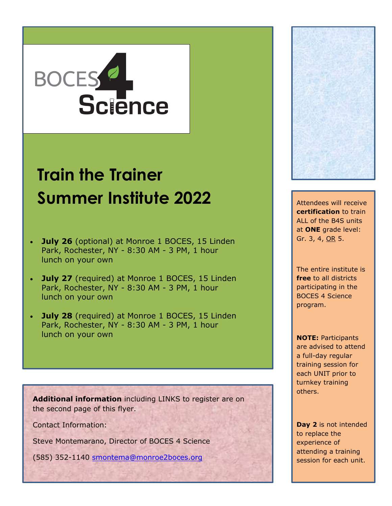## BOCES 2

## **Train the Trainer Summer Institute 2022** Attendees will receive

- **July 26** (optional) at Monroe 1 BOCES, 15 Linden Park, Rochester, NY - 8:30 AM - 3 PM, 1 hour lunch on your own
- **July 27** (required) at Monroe 1 BOCES, 15 Linden Park, Rochester, NY - 8:30 AM - 3 PM, 1 hour lunch on your own
- **July 28** (required) at Monroe 1 BOCES, 15 Linden Park, Rochester, NY - 8:30 AM - 3 PM, 1 hour lunch on your own

**Additional information** including LINKS to register are on the second page of this flyer.

Contact Information:

Steve Montemarano, Director of BOCES 4 Science

(585) 352-1140 [smontema@monroe2boces.org](mailto:smontema@monroe2boces.org)



**certification** to train ALL of the B4S units at **ONE** grade level: Gr. 3, 4, OR 5.

The entire institute is **free** to all districts participating in the BOCES 4 Science program.

**NOTE:** Participants are advised to attend a full-day regular training session for each UNIT prior to turnkey training others.

**Day 2** is not intended to replace the experience of attending a training session for each unit.